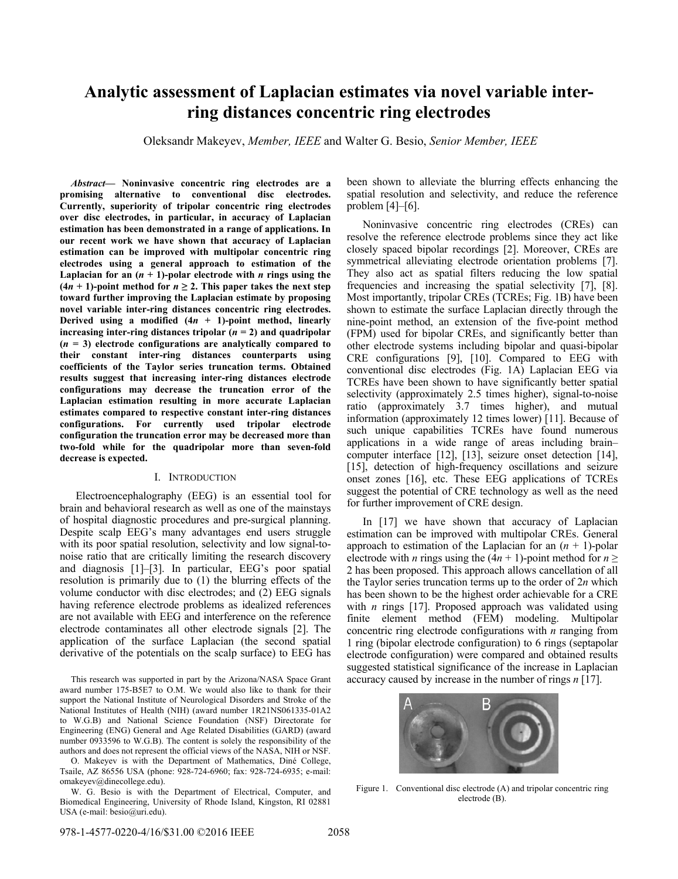# **Analytic assessment of Laplacian estimates via novel variable interring distances concentric ring electrodes**

Oleksandr Makeyev, *Member, IEEE* and Walter G. Besio, *Senior Member, IEEE*

*Abstract***— Noninvasive concentric ring electrodes are a promising alternative to conventional disc electrodes. Currently, superiority of tripolar concentric ring electrodes over disc electrodes, in particular, in accuracy of Laplacian estimation has been demonstrated in a range of applications. In our recent work we have shown that accuracy of Laplacian estimation can be improved with multipolar concentric ring electrodes using a general approach to estimation of the**  Laplacian for an  $(n + 1)$ -polar electrode with *n* rings using the  $(4n + 1)$ -point method for  $n \ge 2$ . This paper takes the next step **toward further improving the Laplacian estimate by proposing novel variable inter-ring distances concentric ring electrodes. Derived using a modified**  $(4n + 1)$ **-point method, linearly increasing inter-ring distances tripolar**  $(n = 2)$  **and quadripolar (***n* **= 3) electrode configurations are analytically compared to their constant inter-ring distances counterparts using coefficients of the Taylor series truncation terms. Obtained results suggest that increasing inter-ring distances electrode configurations may decrease the truncation error of the Laplacian estimation resulting in more accurate Laplacian estimates compared to respective constant inter-ring distances configurations. For currently used tripolar electrode configuration the truncation error may be decreased more than two-fold while for the quadripolar more than seven-fold decrease is expected.** 

# I. INTRODUCTION

Electroencephalography (EEG) is an essential tool for brain and behavioral research as well as one of the mainstays of hospital diagnostic procedures and pre-surgical planning. Despite scalp EEG's many advantages end users struggle with its poor spatial resolution, selectivity and low signal-tonoise ratio that are critically limiting the research discovery and diagnosis [1]–[3]. In particular, EEG's poor spatial resolution is primarily due to (1) the blurring effects of the volume conductor with disc electrodes; and (2) EEG signals having reference electrode problems as idealized references are not available with EEG and interference on the reference electrode contaminates all other electrode signals [2]. The application of the surface Laplacian (the second spatial derivative of the potentials on the scalp surface) to EEG has

This research was supported in part by the Arizona/NASA Space Grant award number 175-B5E7 to O.M. We would also like to thank for their support the National Institute of Neurological Disorders and Stroke of the National Institutes of Health (NIH) (award number 1R21NS061335-01A2 to W.G.B) and National Science Foundation (NSF) Directorate for Engineering (ENG) General and Age Related Disabilities (GARD) (award number 0933596 to W.G.B). The content is solely the responsibility of the authors and does not represent the official views of the NASA, NIH or NSF.

O. Makeyev is with the Department of Mathematics, Diné College, Tsaile, AZ 86556 USA (phone: 928-724-6960; fax: 928-724-6935; e-mail: omakeyev@dinecollege.edu).

W. G. Besio is with the Department of Electrical, Computer, and Biomedical Engineering, University of Rhode Island, Kingston, RI 02881 USA (e-mail: besio@uri.edu).

been shown to alleviate the blurring effects enhancing the spatial resolution and selectivity, and reduce the reference problem [4]–[6].

Noninvasive concentric ring electrodes (CREs) can resolve the reference electrode problems since they act like closely spaced bipolar recordings [2]. Moreover, CREs are symmetrical alleviating electrode orientation problems [7]. They also act as spatial filters reducing the low spatial frequencies and increasing the spatial selectivity [7], [8]. Most importantly, tripolar CREs (TCREs; Fig. 1B) have been shown to estimate the surface Laplacian directly through the nine-point method, an extension of the five-point method (FPM) used for bipolar CREs, and significantly better than other electrode systems including bipolar and quasi-bipolar CRE configurations [9], [10]. Compared to EEG with conventional disc electrodes (Fig. 1A) Laplacian EEG via TCREs have been shown to have significantly better spatial selectivity (approximately 2.5 times higher), signal-to-noise ratio (approximately 3.7 times higher), and mutual information (approximately 12 times lower) [11]. Because of such unique capabilities TCREs have found numerous applications in a wide range of areas including brain– computer interface [12], [13], seizure onset detection [14], [15], detection of high-frequency oscillations and seizure onset zones [16], etc. These EEG applications of TCREs suggest the potential of CRE technology as well as the need for further improvement of CRE design.

In [17] we have shown that accuracy of Laplacian estimation can be improved with multipolar CREs. General approach to estimation of the Laplacian for an  $(n + 1)$ -polar electrode with *n* rings using the  $(4n + 1)$ -point method for  $n \ge$ 2 has been proposed. This approach allows cancellation of all the Taylor series truncation terms up to the order of 2*n* which has been shown to be the highest order achievable for a CRE with *n* rings [17]. Proposed approach was validated using finite element method (FEM) modeling. Multipolar concentric ring electrode configurations with *n* ranging from 1 ring (bipolar electrode configuration) to 6 rings (septapolar electrode configuration) were compared and obtained results suggested statistical significance of the increase in Laplacian accuracy caused by increase in the number of rings *n* [17].



Figure 1. Conventional disc electrode (A) and tripolar concentric ring electrode (B).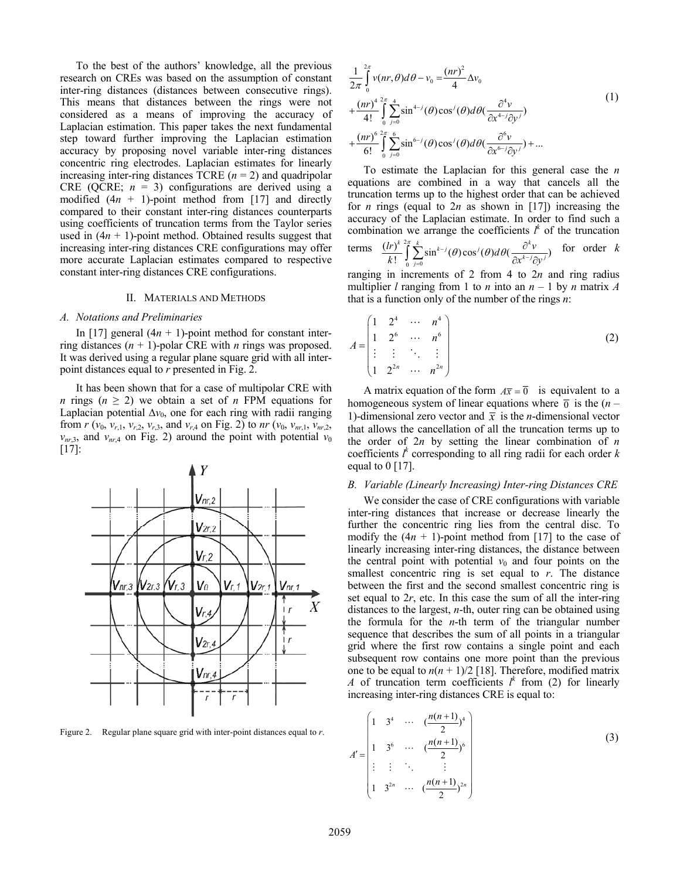To the best of the authors' knowledge, all the previous research on CREs was based on the assumption of constant inter-ring distances (distances between consecutive rings). This means that distances between the rings were not considered as a means of improving the accuracy of Laplacian estimation. This paper takes the next fundamental step toward further improving the Laplacian estimation accuracy by proposing novel variable inter-ring distances concentric ring electrodes. Laplacian estimates for linearly increasing inter-ring distances TCRE  $(n = 2)$  and quadripolar CRE (QCRE;  $n = 3$ ) configurations are derived using a modified  $(4n + 1)$ -point method from [17] and directly compared to their constant inter-ring distances counterparts using coefficients of truncation terms from the Taylor series used in  $(4n + 1)$ -point method. Obtained results suggest that increasing inter-ring distances CRE configurations may offer more accurate Laplacian estimates compared to respective constant inter-ring distances CRE configurations.

## II. MATERIALS AND METHODS

## *A. Notations and Preliminaries*

In [17] general  $(4n + 1)$ -point method for constant interring distances (*n* + 1)-polar CRE with *n* rings was proposed. It was derived using a regular plane square grid with all interpoint distances equal to *r* presented in Fig. 2.

It has been shown that for a case of multipolar CRE with *n* rings ( $n \geq 2$ ) we obtain a set of *n* FPM equations for Laplacian potential  $\Delta v_0$ , one for each ring with radii ranging from *r* ( $v_0$ ,  $v_{r,1}$ ,  $v_{r,2}$ ,  $v_{r,3}$ , and  $v_{r,4}$  on Fig. 2) to *nr* ( $v_0$ ,  $v_{nr,1}$ ,  $v_{nr,2}$ ,  $v_{nr,3}$ , and  $v_{nr,4}$  on Fig. 2) around the point with potential  $v_0$ [17]:



Figure 2. Regular plane square grid with inter-point distances equal to *r*.

$$
\frac{1}{2\pi} \int_{0}^{2\pi} v(nr,\theta) d\theta - v_0 = \frac{(nr)^2}{4} \Delta v_0
$$
\n
$$
+ \frac{(nr)^4}{4!} \int_{0}^{2\pi} \int_{j=0}^{4} \sin^{4-j}(\theta) \cos^j(\theta) d\theta \left(\frac{\partial^4 v}{\partial x^{4-j} \partial y^j}\right)
$$
\n
$$
+ \frac{(nr)^6}{6!} \int_{0}^{2\pi} \int_{j=0}^{6} \sin^{6-j}(\theta) \cos^j(\theta) d\theta \left(\frac{\partial^6 v}{\partial x^{6-j} \partial y^j}\right) + \dots
$$
\n(1)

To estimate the Laplacian for this general case the *n* equations are combined in a way that cancels all the truncation terms up to the highest order that can be achieved for *n* rings (equal to 2*n* as shown in [17]) increasing the accuracy of the Laplacian estimate. In order to find such a combination we arrange the coefficients  $l^k$  of the truncation terms  $(lr)^k$ <sup>2π</sup>  $\int_{0}^{k^{2\pi} k} \nabla \sin^{k-j}(\theta) \cos^j(\theta) d\theta'$ ∂

terms 
$$
\frac{(lr)^k}{k!} \int_{0}^{2\pi} \sum_{j=0}^{k} \sin^{k-j}(\theta) \cos^j(\theta) d\theta \left(\frac{\partial^k v}{\partial x^{k-j} \partial y^j}\right)
$$
 for order k

ranging in increments of 2 from 4 to 2*n* and ring radius multiplier *l* ranging from 1 to *n* into an  $n - 1$  by *n* matrix *A* that is a function only of the number of the rings *n*:

$$
A = \begin{pmatrix} 1 & 2^4 & \cdots & n^4 \\ 1 & 2^6 & \cdots & n^6 \\ \vdots & \vdots & \ddots & \vdots \\ 1 & 2^{2n} & \cdots & n^{2n} \end{pmatrix}
$$
 (2)

A matrix equation of the form  $A\overline{x} = \overline{0}$  is equivalent to a homogeneous system of linear equations where  $\bar{0}$  is the  $(n -$ 1)-dimensional zero vector and  $\bar{x}$  is the *n*-dimensional vector that allows the cancellation of all the truncation terms up to the order of 2*n* by setting the linear combination of *n* coefficients  $l^k$  corresponding to all ring radii for each order  $k$ equal to  $0$  [17].

#### *B. Variable (Linearly Increasing) Inter-ring Distances CRE*

We consider the case of CRE configurations with variable inter-ring distances that increase or decrease linearly the further the concentric ring lies from the central disc. To modify the  $(4n + 1)$ -point method from [17] to the case of linearly increasing inter-ring distances, the distance between the central point with potential  $v_0$  and four points on the smallest concentric ring is set equal to *r*. The distance between the first and the second smallest concentric ring is set equal to 2*r*, etc. In this case the sum of all the inter-ring distances to the largest, *n*-th, outer ring can be obtained using the formula for the *n*-th term of the triangular number sequence that describes the sum of all points in a triangular grid where the first row contains a single point and each subsequent row contains one more point than the previous one to be equal to  $n(n + 1)/2$  [18]. Therefore, modified matrix *A* of truncation term coefficients  $l^k$  from (2) for linearly increasing inter-ring distances CRE is equal to:

$$
A' = \begin{pmatrix} 1 & 3^4 & \cdots & \left(\frac{n(n+1)}{2}\right)^4 \\ 1 & 3^6 & \cdots & \left(\frac{n(n+1)}{2}\right)^6 \\ \vdots & \vdots & \ddots & \vdots \\ 1 & 3^{2n} & \cdots & \left(\frac{n(n+1)}{2}\right)^{2n} \end{pmatrix}
$$
 (3)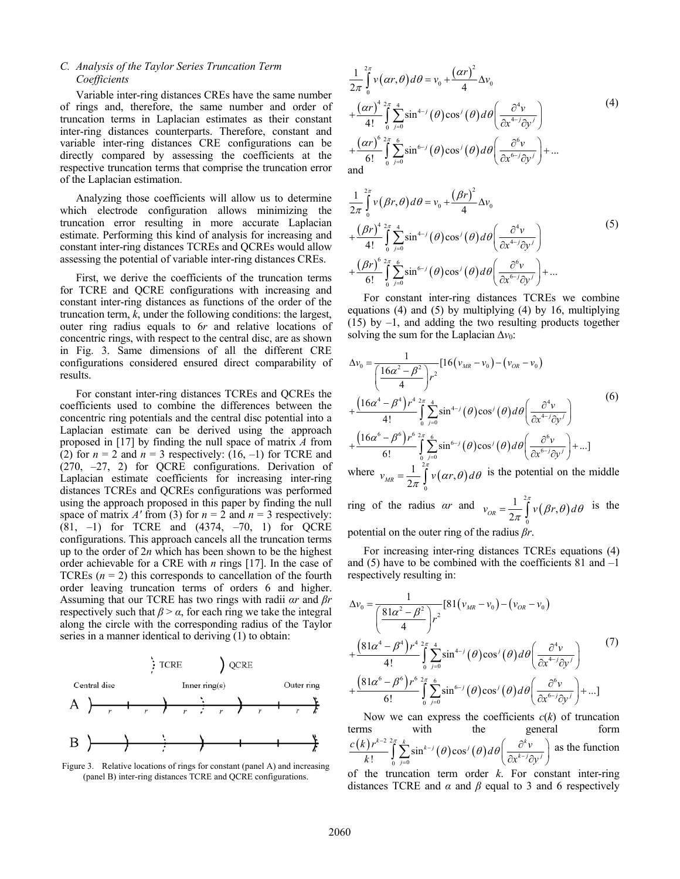# *C. Analysis of the Taylor Series Truncation Term Coefficients*

Variable inter-ring distances CREs have the same number of rings and, therefore, the same number and order of truncation terms in Laplacian estimates as their constant inter-ring distances counterparts. Therefore, constant and variable inter-ring distances CRE configurations can be directly compared by assessing the coefficients at the respective truncation terms that comprise the truncation error of the Laplacian estimation.

Analyzing those coefficients will allow us to determine which electrode configuration allows minimizing the truncation error resulting in more accurate Laplacian estimate. Performing this kind of analysis for increasing and constant inter-ring distances TCREs and QCREs would allow assessing the potential of variable inter-ring distances CREs.

First, we derive the coefficients of the truncation terms for TCRE and QCRE configurations with increasing and constant inter-ring distances as functions of the order of the truncation term, *k*, under the following conditions: the largest, outer ring radius equals to 6*r* and relative locations of concentric rings, with respect to the central disc, are as shown in Fig. 3. Same dimensions of all the different CRE configurations considered ensured direct comparability of results.

For constant inter-ring distances TCREs and QCREs the coefficients used to combine the differences between the concentric ring potentials and the central disc potential into a Laplacian estimate can be derived using the approach proposed in [17] by finding the null space of matrix *A* from (2) for  $n = 2$  and  $n = 3$  respectively: (16, -1) for TCRE and (270, –27, 2) for QCRE configurations. Derivation of Laplacian estimate coefficients for increasing inter-ring distances TCREs and QCREs configurations was performed using the approach proposed in this paper by finding the null space of matrix  $A'$  from (3) for  $n = 2$  and  $n = 3$  respectively: (81, –1) for TCRE and (4374, –70, 1) for QCRE configurations. This approach cancels all the truncation terms up to the order of 2*n* which has been shown to be the highest order achievable for a CRE with *n* rings [17]. In the case of TCREs  $(n = 2)$  this corresponds to cancellation of the fourth order leaving truncation terms of orders 6 and higher. Assuming that our TCRE has two rings with radii *αr* and *βr* respectively such that  $\beta > \alpha$ , for each ring we take the integral along the circle with the corresponding radius of the Taylor series in a manner identical to deriving (1) to obtain:



Figure 3. Relative locations of rings for constant (panel A) and increasing (panel B) inter-ring distances TCRE and QCRE configurations.

$$
\frac{1}{2\pi} \int_{0}^{2\pi} v(\alpha r, \theta) d\theta = v_0 + \frac{(\alpha r)^2}{4} \Delta v_0
$$
\n
$$
+ \frac{(\alpha r)^4}{4!} \int_{0}^{2\pi} \sum_{j=0}^{4} \sin^{4-j}(\theta) \cos^j(\theta) d\theta \left( \frac{\partial^4 v}{\partial x^{4-j} \partial y^j} \right)
$$
\n
$$
+ \frac{(\alpha r)^6}{6!} \int_{0}^{2\pi} \sum_{j=0}^{6} \sin^{6-j}(\theta) \cos^j(\theta) d\theta \left( \frac{\partial^6 v}{\partial x^{6-j} \partial y^j} \right) + \dots
$$
\nand\n
$$
(4)
$$

$$
\frac{1}{2\pi} \int_{0}^{2\pi} v(\beta r, \theta) d\theta = v_0 + \frac{(\beta r)^2}{4} \Delta v_0
$$
\n
$$
+ \frac{(\beta r)^4}{4!} \int_{0}^{2\pi} \sum_{j=0}^{4} \sin^{4-j}(\theta) \cos^j(\theta) d\theta \left(\frac{\partial^4 v}{\partial x^{4-j} \partial y^j}\right)
$$
\n
$$
+ \frac{(\beta r)^6}{6!} \int_{0}^{2\pi} \sum_{j=0}^{6} \sin^{6-j}(\theta) \cos^j(\theta) d\theta \left(\frac{\partial^6 v}{\partial x^{6-j} \partial y^j}\right) + \dots
$$
\n(5)

For constant inter-ring distances TCREs we combine equations (4) and (5) by multiplying (4) by 16, multiplying (15) by –1, and adding the two resulting products together solving the sum for the Laplacian  $\Delta v_0$ :

$$
\Delta v_0 = \frac{1}{\left(\frac{16\alpha^2 - \beta^2}{4}\right) r^2} [16(v_{MR} - v_0) - (v_{OR} - v_0)
$$
  
+ 
$$
\frac{(16\alpha^4 - \beta^4) r^4}{4!} \int_0^{2\pi} \sum_{j=0}^4 \sin^{4-j}(\theta) \cos^j(\theta) d\theta \left(\frac{\partial^4 v}{\partial x^{4-j} \partial y^j}\right)
$$
  
+ 
$$
\frac{(16\alpha^6 - \beta^6) r^6}{6!} \int_0^{2\pi} \sum_{j=0}^6 \sin^{6-j}(\theta) \cos^j(\theta) d\theta \left(\frac{\partial^6 v}{\partial x^{6-j} \partial y^j}\right) + ...]
$$
  
where 
$$
1 \int_{2\pi}^{2\pi} (x, \theta) \cos^j(\theta) d\theta \left(\frac{\partial^6 v}{\partial x^{6-j} \partial y^j}\right) + ...]
$$

where  $v_{MR} = \frac{1}{2} \int_{0}^{2\pi} v(\alpha r, \theta)$  $v_{MR} = \frac{1}{2\pi} \int_{0}^{2\pi} v(\alpha r, \theta) d\theta$  is the potential on the middle

ring of the radius *αr* and  $v_{OR} = \frac{1}{2} \int_{0}^{2\pi} v(\beta r, \theta)$  $v_{OR} = \frac{1}{2\pi} \int_{0}^{2\pi} v(\beta r, \theta) d\theta$  is the

potential on the outer ring of the radius *βr*.

For increasing inter-ring distances TCREs equations (4) and (5) have to be combined with the coefficients 81 and –1 respectively resulting in:

$$
\Delta v_0 = \frac{1}{\left(\frac{81\alpha^2 - \beta^2}{4}\right) r^2} [81(v_{MR} - v_0) - (v_{OR} - v_0) \n+ \frac{(81\alpha^4 - \beta^4) r^4 \frac{2\pi}{6}}{4!} \int_{0}^{4} \sum_{j=0}^{4} \sin^{4-j}(\theta) \cos^j(\theta) d\theta \left(\frac{\partial^4 v}{\partial x^{4-j} \partial y^j}\right) \n+ \frac{(81\alpha^6 - \beta^6) r^6 \frac{2\pi}{6}}{6!} \int_{0}^{6} \sum_{j=0}^{6} \sin^{6-j}(\theta) \cos^j(\theta) d\theta \left(\frac{\partial^6 v}{\partial x^{6-j} \partial y^j}\right) + ...]
$$
\n(7)

Now we can express the coefficients  $c(k)$  of truncation terms with the general form  $\frac{(k) r^{k-2} \binom{n}{k}}{\prod_{i=1}^k \sum_{j=1}^k \sin^{k-j}(\theta) \cos^j(\theta)}$  $0 \quad j=0$  $\sum_{n=0}^{n} \sum_{j=0}^{\infty} \sin^{k-j}(\theta) \cos^{j}(\theta)$  $\int_{0}^{k-2} \int_{j=0}^{2\pi} \sum_{j=0}^{k} \sin^{k-j}(\theta) \cos^{j}(\theta) d\theta \left( \frac{\partial^{k} v}{\partial x^{k-j} \partial y^{j}} \right)$  $\frac{c(k)r^{k-2}}{k!} \int_{0}^{x} \sum_{j=0}^{k} \sin^{k-j}(\theta) \cos^{j}(\theta) d\theta \left( \frac{\partial^{k}v}{\partial x^{k-j} \partial y} \right)$  $\int_{0}^{\pi} \sum_{i=1}^{k} \sin^{k-j}(\theta) \cos^{j}(\theta) d\theta$  $-\int_{0}^{2} \sum_{j=0}^{n} \sin^{k-j}(\theta) \cos^{j}(\theta) d\theta \left(\frac{\partial^{k} v}{\partial x^{k-j} \partial y^{j}}\right)$  as the function

of the truncation term order *k*. For constant inter-ring distances TCRE and  $\alpha$  and  $\beta$  equal to 3 and 6 respectively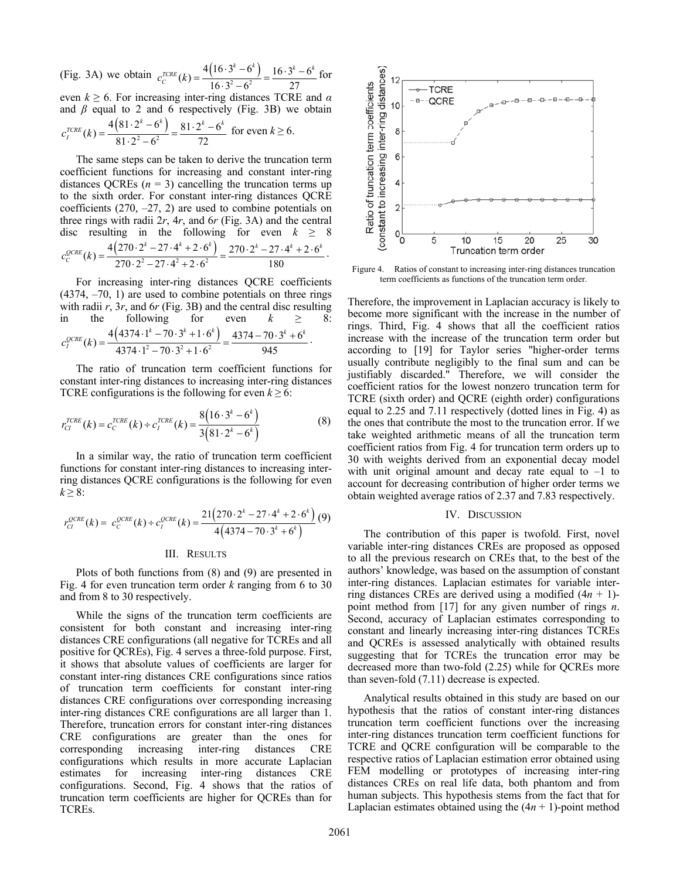(Fig. 3A) we obtain  $c_c^{TCRE}(k) = \frac{4(16 \cdot 3^k - 6^k)}{16 \cdot 3^2 - 6^2} = \frac{16 \cdot 3^k - 6^k}{27}$  for even  $k \ge 6$ . For increasing inter-ring distances TCRE and  $\alpha$ and  $\beta$  equal to 2 and 6 respectively (Fig. 3B) we obtain  $(81 \cdot 2^{\kappa} - 6^{\kappa})$  $c_i^{TCRE}(k) = \frac{4(81 \cdot 2^k - 6^k)}{81 \cdot 2^2 - 6^2} = \frac{81 \cdot 2^k - 6^k}{72}$  for even  $k \ge 6$ .

The same steps can be taken to derive the truncation term coefficient functions for increasing and constant inter-ring distances QCREs  $(n = 3)$  cancelling the truncation terms up to the sixth order. For constant inter-ring distances QCRE coefficients  $(270, -27, 2)$  are used to combine potentials on three rings with radii 2*r*, 4*r*, and 6*r* (Fig. 3A) and the central disc resulting in the following for even  $k \geq 8$  $(270 \cdot 2^{k} - 27 \cdot 4^{k} + 2 \cdot 6^{k})$  $c_c^{QCRE}(k) = \frac{4(270 \cdot 2^k - 27 \cdot 4^k + 2 \cdot 6^k)}{270 \cdot 2^2 - 27 \cdot 4^2 + 2 \cdot 6^2} = \frac{270 \cdot 2^k - 27 \cdot 4^k + 2 \cdot 6^k}{180}$ 

For increasing inter-ring distances QCRE coefficients (4374, –70, 1) are used to combine potentials on three rings with radii *r*, 3*r*, and 6*r* (Fig. 3B) and the central disc resulting in the following for even  $k \geq 8$ :  $(4374 \cdot 1^{k} - 70 \cdot 3^{k} + 1 \cdot 6^{k})$  $c_1^{QCRE}(k) = \frac{4(4374 \cdot 1^k - 70 \cdot 3^k + 1 \cdot 6^k)}{4374 \cdot 1^2 - 70 \cdot 3^2 + 1 \cdot 6^2} = \frac{4374 - 70 \cdot 3^k + 6^k}{945}$ .

The ratio of truncation term coefficient functions for constant inter-ring distances to increasing inter-ring distances TCRE configurations is the following for even  $k \ge 6$ :

$$
r_{Cl}^{TCRE}(k) = c_{C}^{TCRE}(k) \div c_{I}^{TCRE}(k) = \frac{8(16 \cdot 3^{k} - 6^{k})}{3(81 \cdot 2^{k} - 6^{k})}
$$
(8)

In a similar way, the ratio of truncation term coefficient functions for constant inter-ring distances to increasing interring distances QCRE configurations is the following for even  $k \geq 8$ :

$$
r_C^{QCRE}(k) = c_C^{QCRE}(k) \div c_I^{QCRE}(k) = \frac{21(270 \cdot 2^k - 27 \cdot 4^k + 2 \cdot 6^k)}{4(4374 - 70 \cdot 3^k + 6^k)}(9)
$$

## III. RESULTS

Plots of both functions from (8) and (9) are presented in Fig. 4 for even truncation term order *k* ranging from 6 to 30 and from 8 to 30 respectively.

While the signs of the truncation term coefficients are consistent for both constant and increasing inter-ring distances CRE configurations (all negative for TCREs and all positive for QCREs), Fig. 4 serves a three-fold purpose. First, it shows that absolute values of coefficients are larger for constant inter-ring distances CRE configurations since ratios of truncation term coefficients for constant inter-ring distances CRE configurations over corresponding increasing inter-ring distances CRE configurations are all larger than 1. Therefore, truncation errors for constant inter-ring distances CRE configurations are greater than the ones for corresponding increasing inter-ring distances CRE configurations which results in more accurate Laplacian estimates for increasing inter-ring distances CRE configurations. Second, Fig. 4 shows that the ratios of truncation term coefficients are higher for QCREs than for TCREs.



Figure 4. Ratios of constant to increasing inter-ring distances truncation term coefficients as functions of the truncation term order.

Therefore, the improvement in Laplacian accuracy is likely to become more significant with the increase in the number of rings. Third, Fig. 4 shows that all the coefficient ratios increase with the increase of the truncation term order but according to [19] for Taylor series "higher-order terms usually contribute negligibly to the final sum and can be justifiably discarded." Therefore, we will consider the coefficient ratios for the lowest nonzero truncation term for TCRE (sixth order) and QCRE (eighth order) configurations equal to 2.25 and 7.11 respectively (dotted lines in Fig. 4) as the ones that contribute the most to the truncation error. If we take weighted arithmetic means of all the truncation term coefficient ratios from Fig. 4 for truncation term orders up to 30 with weights derived from an exponential decay model with unit original amount and decay rate equal to  $-1$  to account for decreasing contribution of higher order terms we obtain weighted average ratios of 2.37 and 7.83 respectively.

## IV. DISCUSSION

The contribution of this paper is twofold. First, novel variable inter-ring distances CREs are proposed as opposed to all the previous research on CREs that, to the best of the authors' knowledge, was based on the assumption of constant inter-ring distances. Laplacian estimates for variable interring distances CREs are derived using a modified  $(4n + 1)$ point method from [17] for any given number of rings *n*. Second, accuracy of Laplacian estimates corresponding to constant and linearly increasing inter-ring distances TCREs and QCREs is assessed analytically with obtained results suggesting that for TCREs the truncation error may be decreased more than two-fold (2.25) while for QCREs more than seven-fold (7.11) decrease is expected.

Analytical results obtained in this study are based on our hypothesis that the ratios of constant inter-ring distances truncation term coefficient functions over the increasing inter-ring distances truncation term coefficient functions for TCRE and QCRE configuration will be comparable to the respective ratios of Laplacian estimation error obtained using FEM modelling or prototypes of increasing inter-ring distances CREs on real life data, both phantom and from human subjects. This hypothesis stems from the fact that for Laplacian estimates obtained using the  $(4n + 1)$ -point method